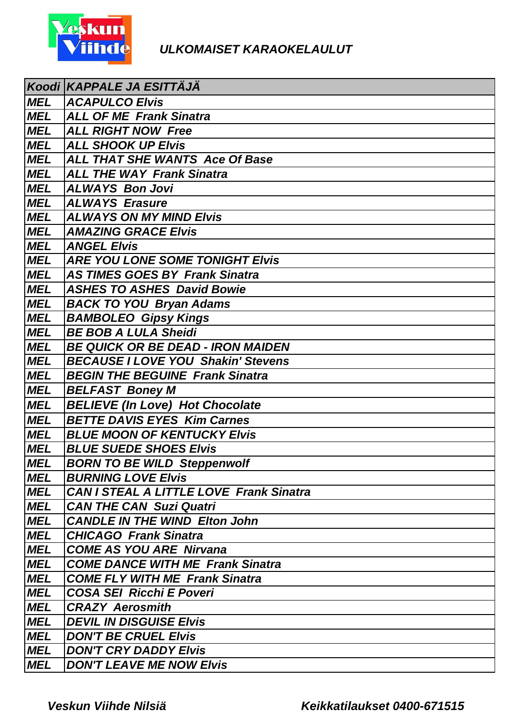

|            | Koodi KAPPALE JA ESITTÄJÄ                      |
|------------|------------------------------------------------|
| <b>MEL</b> | <b>ACAPULCO Elvis</b>                          |
| <b>MEL</b> | <b>ALL OF ME Frank Sinatra</b>                 |
| <b>MEL</b> | <b>ALL RIGHT NOW Free</b>                      |
| <b>MEL</b> | <b>ALL SHOOK UP Elvis</b>                      |
| <b>MEL</b> | <b>ALL THAT SHE WANTS Ace Of Base</b>          |
| <b>MEL</b> | <b>ALL THE WAY Frank Sinatra</b>               |
| <b>MEL</b> | <b>ALWAYS Bon Jovi</b>                         |
| <b>MEL</b> | <b>ALWAYS Erasure</b>                          |
| <b>MEL</b> | <b>ALWAYS ON MY MIND Elvis</b>                 |
| <b>MEL</b> | <b>AMAZING GRACE Elvis</b>                     |
| <b>MEL</b> | <b>ANGEL Elvis</b>                             |
| <b>MEL</b> | <b>ARE YOU LONE SOME TONIGHT Elvis</b>         |
| <b>MEL</b> | <b>AS TIMES GOES BY Frank Sinatra</b>          |
| <b>MEL</b> | <b>ASHES TO ASHES David Bowie</b>              |
| <b>MEL</b> | <b>BACK TO YOU Bryan Adams</b>                 |
| <b>MEL</b> | <b>BAMBOLEO Gipsy Kings</b>                    |
| <b>MEL</b> | <b>BE BOB A LULA Sheidi</b>                    |
| <b>MEL</b> | <b>BE QUICK OR BE DEAD - IRON MAIDEN</b>       |
| <b>MEL</b> | <b>BECAUSE I LOVE YOU Shakin' Stevens</b>      |
| <b>MEL</b> | <b>BEGIN THE BEGUINE Frank Sinatra</b>         |
| <b>MEL</b> | <b>BELFAST Boney M</b>                         |
| <b>MEL</b> | <b>BELIEVE (In Love) Hot Chocolate</b>         |
| <b>MEL</b> | <b>BETTE DAVIS EYES Kim Carnes</b>             |
| <b>MEL</b> | <b>BLUE MOON OF KENTUCKY Elvis</b>             |
| <b>MEL</b> | <b>BLUE SUEDE SHOES Elvis</b>                  |
| <b>MEL</b> | <b>BORN TO BE WILD Steppenwolf</b>             |
| <b>MEL</b> | <b>BURNING LOVE EIVIS</b>                      |
| <b>MEL</b> | <b>CAN I STEAL A LITTLE LOVE Frank Sinatra</b> |
| <b>MEL</b> | <b>CAN THE CAN Suzi Quatri</b>                 |
| <b>MEL</b> | <b>CANDLE IN THE WIND Elton John</b>           |
| <b>MEL</b> | <b>CHICAGO Frank Sinatra</b>                   |
| <b>MEL</b> | <b>COME AS YOU ARE Nirvana</b>                 |
| <b>MEL</b> | <b>COME DANCE WITH ME Frank Sinatra</b>        |
| <b>MEL</b> | <b>COME FLY WITH ME Frank Sinatra</b>          |
| <b>MEL</b> | <b>COSA SEI Ricchi E Poveri</b>                |
| <b>MEL</b> | <b>CRAZY Aerosmith</b>                         |
| <b>MEL</b> | <b>DEVIL IN DISGUISE EIVIS</b>                 |
| <b>MEL</b> | <b>DON'T BE CRUEL Elvis</b>                    |
| <b>MEL</b> | <b>DON'T CRY DADDY Elvis</b>                   |
| <b>MEL</b> | <b>DON'T LEAVE ME NOW EIVIS</b>                |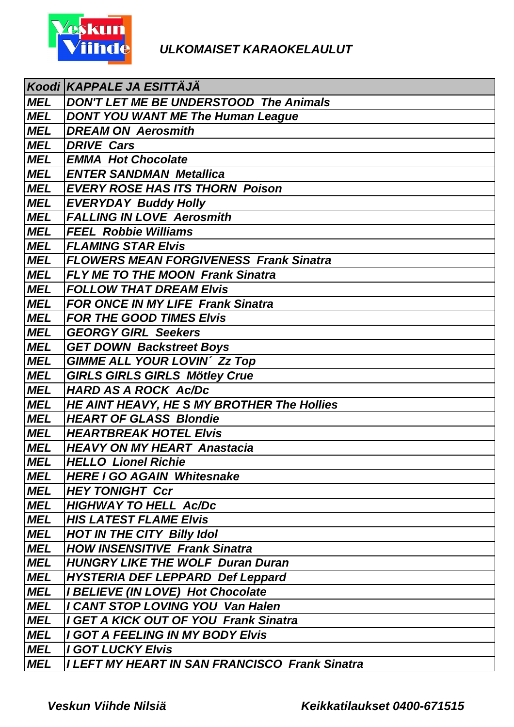

|            | Koodi KAPPALE JA ESITTÄJÄ                             |
|------------|-------------------------------------------------------|
| <b>MEL</b> | DON'T LET ME BE UNDERSTOOD The Animals                |
| <b>MEL</b> | <b>DONT YOU WANT ME The Human League</b>              |
| <b>MEL</b> | <b>DREAM ON Aerosmith</b>                             |
| <b>MEL</b> | <b>DRIVE Cars</b>                                     |
| <b>MEL</b> | <b>EMMA Hot Chocolate</b>                             |
| <b>MEL</b> | <b>ENTER SANDMAN Metallica</b>                        |
| <b>MEL</b> | <b>EVERY ROSE HAS ITS THORN Poison</b>                |
| <b>MEL</b> | <b>EVERYDAY Buddy Holly</b>                           |
| <b>MEL</b> | <b>FALLING IN LOVE Aerosmith</b>                      |
| <b>MEL</b> | <b>FEEL Robbie Williams</b>                           |
| <b>MEL</b> | <b>FLAMING STAR Elvis</b>                             |
| <b>MEL</b> | <b>FLOWERS MEAN FORGIVENESS Frank Sinatra</b>         |
| <b>MEL</b> | <b>FLY ME TO THE MOON Frank Sinatra</b>               |
| <b>MEL</b> | <b>FOLLOW THAT DREAM Elvis</b>                        |
| <b>MEL</b> | <b>FOR ONCE IN MY LIFE Frank Sinatra</b>              |
| <b>MEL</b> | <b>FOR THE GOOD TIMES Elvis</b>                       |
| <b>MEL</b> | <b>GEORGY GIRL Seekers</b>                            |
| MEL        | <b>GET DOWN Backstreet Boys</b>                       |
| <b>MEL</b> | <b>GIMME ALL YOUR LOVIN' Zz Top</b>                   |
| <b>MEL</b> | <b>GIRLS GIRLS GIRLS Mötley Crue</b>                  |
| <b>MEL</b> | <b>HARD AS A ROCK Ac/Dc</b>                           |
| <b>MEL</b> | HE AINT HEAVY, HE S MY BROTHER The Hollies            |
| <b>MEL</b> | <b>HEART OF GLASS Blondie</b>                         |
| <b>MEL</b> | <b>HEARTBREAK HOTEL Elvis</b>                         |
| MEL        | <b>HEAVY ON MY HEART Anastacia</b>                    |
| <b>MEL</b> | <b>HELLO Lionel Richie</b>                            |
| <b>MEL</b> | <b>HERE I GO AGAIN Whitesnake</b>                     |
| MEL        | <b>HEY TONIGHT Ccr</b>                                |
| <b>MEL</b> | <b>HIGHWAY TO HELL Ac/Dc</b>                          |
| <b>MEL</b> | <b>HIS LATEST FLAME Elvis</b>                         |
| <b>MEL</b> | <b>HOT IN THE CITY Billy Idol</b>                     |
| <b>MEL</b> | <b>HOW INSENSITIVE Frank Sinatra</b>                  |
| MEL        | <b>HUNGRY LIKE THE WOLF Duran Duran</b>               |
| <b>MEL</b> | <b>HYSTERIA DEF LEPPARD Def Leppard</b>               |
| <b>MEL</b> | <b>I BELIEVE (IN LOVE) Hot Chocolate</b>              |
| <b>MEL</b> | I CANT STOP LOVING YOU Van Halen                      |
| <b>MEL</b> | I GET A KICK OUT OF YOU Frank Sinatra                 |
| <b>MEL</b> | I GOT A FEELING IN MY BODY Elvis                      |
| <b>MEL</b> | <b>I GOT LUCKY Elvis</b>                              |
| <b>MEL</b> | <b>I LEFT MY HEART IN SAN FRANCISCO Frank Sinatra</b> |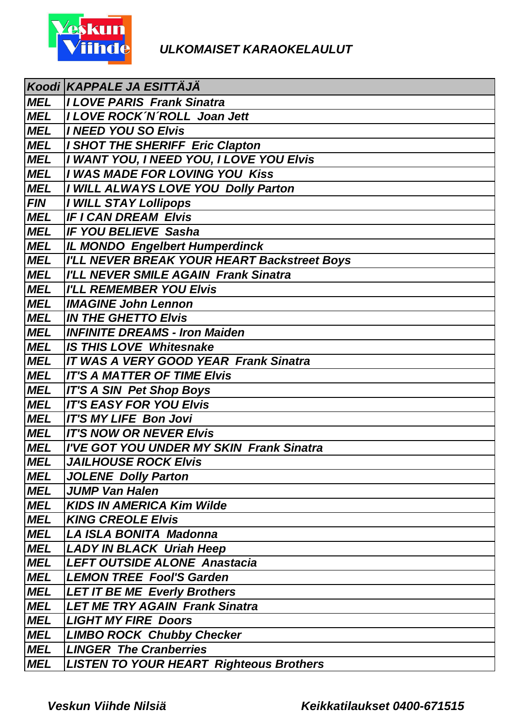

|            | Koodi KAPPALE JA ESITTAJA                      |
|------------|------------------------------------------------|
| <b>MEL</b> | <b>ILOVE PARIS Frank Sinatra</b>               |
| <b>MEL</b> | I LOVE ROCK 'N 'ROLL Joan Jett                 |
| <b>MEL</b> | I NEED YOU SO Elvis                            |
| MEL        | I SHOT THE SHERIFF Eric Clapton                |
| <b>MEL</b> | I WANT YOU, I NEED YOU, I LOVE YOU Elvis       |
| <b>MEL</b> | I WAS MADE FOR LOVING YOU Kiss                 |
| <b>MEL</b> | I WILL ALWAYS LOVE YOU Dolly Parton            |
| <i>FIN</i> | <b>I WILL STAY Lollipops</b>                   |
| <b>MEL</b> | <b>IF I CAN DREAM Elvis</b>                    |
| <b>MEL</b> | <b>IF YOU BELIEVE Sasha</b>                    |
| <b>MEL</b> | <b>IL MONDO Engelbert Humperdinck</b>          |
| <b>MEL</b> | I'LL NEVER BREAK YOUR HEART Backstreet Boys    |
| <b>MEL</b> | I'LL NEVER SMILE AGAIN Frank Sinatra           |
| <b>MEL</b> | <b>I'LL REMEMBER YOU Elvis</b>                 |
| <b>MEL</b> | <b>IMAGINE John Lennon</b>                     |
| <b>MEL</b> | <b>IN THE GHETTO Elvis</b>                     |
| <b>MEL</b> | <b>INFINITE DREAMS - Iron Maiden</b>           |
| <b>MEL</b> | <b>IS THIS LOVE Whitesnake</b>                 |
| <b>MEL</b> | <b>IT WAS A VERY GOOD YEAR Frank Sinatra</b>   |
| <b>MEL</b> | <b>IT'S A MATTER OF TIME Elvis</b>             |
| <b>MEL</b> | <b>IT'S A SIN Pet Shop Boys</b>                |
| <b>MEL</b> | <b>IT'S EASY FOR YOU Elvis</b>                 |
| <b>MEL</b> | <b>IT'S MY LIFE Bon Jovi</b>                   |
| <b>MEL</b> | <b>IT'S NOW OR NEVER Elvis</b>                 |
| MEL        | I'VE GOT YOU UNDER MY SKIN Frank Sinatra       |
| <b>MEL</b> | <b>JAILHOUSE ROCK Elvis</b>                    |
| <b>MEL</b> | <b>JOLENE Dolly Parton</b>                     |
| MEL        | <b>JUMP Van Halen</b>                          |
| <b>MEL</b> | <b>KIDS IN AMERICA Kim Wilde</b>               |
| <b>MEL</b> | <b>KING CREOLE Elvis</b>                       |
| <b>MEL</b> | LA ISLA BONITA Madonna                         |
| <b>MEL</b> | <b>LADY IN BLACK Uriah Heep</b>                |
| MEL        | <b>LEFT OUTSIDE ALONE Anastacia</b>            |
| <b>MEL</b> | <b>LEMON TREE Fool'S Garden</b>                |
| <b>MEL</b> | <b>LET IT BE ME Everly Brothers</b>            |
| <b>MEL</b> | <b>LET ME TRY AGAIN Frank Sinatra</b>          |
| <b>MEL</b> | <b>LIGHT MY FIRE Doors</b>                     |
| <b>MEL</b> | <b>LIMBO ROCK Chubby Checker</b>               |
| <b>MEL</b> | <b>LINGER The Cranberries</b>                  |
| <b>MEL</b> | <b>LISTEN TO YOUR HEART Righteous Brothers</b> |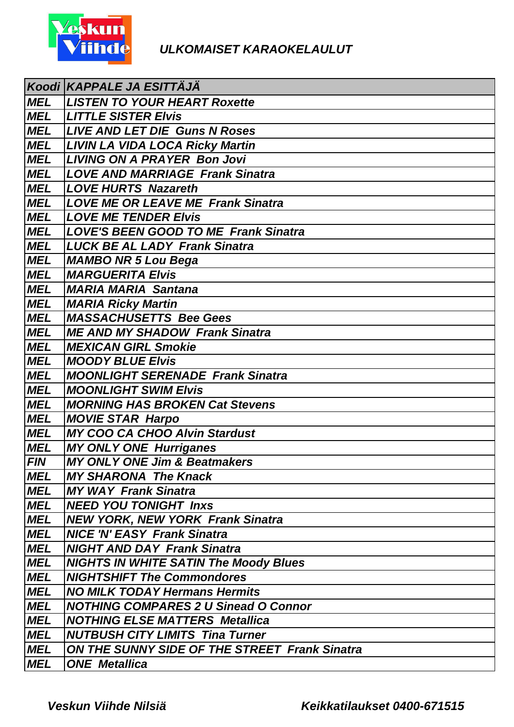

|            | Koodi KAPPALE JA ESITTÄJÄ                            |
|------------|------------------------------------------------------|
| <b>MEL</b> | <b>LISTEN TO YOUR HEART Roxette</b>                  |
| <b>MEL</b> | <b>LITTLE SISTER Elvis</b>                           |
| <b>MEL</b> | <b>LIVE AND LET DIE Guns N Roses</b>                 |
| MEL        | <b>LIVIN LA VIDA LOCA Ricky Martin</b>               |
| <b>MEL</b> | <b>LIVING ON A PRAYER Bon Jovi</b>                   |
| <b>MEL</b> | <b>LOVE AND MARRIAGE Frank Sinatra</b>               |
| <b>MEL</b> | <b>LOVE HURTS Nazareth</b>                           |
| <b>MEL</b> | <b>LOVE ME OR LEAVE ME Frank Sinatra</b>             |
| <b>MEL</b> | <b>LOVE ME TENDER Elvis</b>                          |
| <b>MEL</b> | <b>LOVE'S BEEN GOOD TO ME Frank Sinatra</b>          |
| <b>MEL</b> | <b>LUCK BE AL LADY Frank Sinatra</b>                 |
| <b>MEL</b> | <b>MAMBO NR 5 Lou Bega</b>                           |
| <b>MEL</b> | <b>MARGUERITA Elvis</b>                              |
| <b>MEL</b> | <b>MARIA MARIA Santana</b>                           |
| MEL        | <b>MARIA Ricky Martin</b>                            |
| <b>MEL</b> | <b>MASSACHUSETTS Bee Gees</b>                        |
| <b>MEL</b> | <b>ME AND MY SHADOW Frank Sinatra</b>                |
| <b>MEL</b> | <b>MEXICAN GIRL Smokie</b>                           |
| <b>MEL</b> | <b>MOODY BLUE Elvis</b>                              |
| <b>MEL</b> | <b>MOONLIGHT SERENADE Frank Sinatra</b>              |
| <b>MEL</b> | <b>MOONLIGHT SWIM Elvis</b>                          |
| <b>MEL</b> | <b>MORNING HAS BROKEN Cat Stevens</b>                |
| <b>MEL</b> | <b>MOVIE STAR Harpo</b>                              |
| <b>MEL</b> | <b>MY COO CA CHOO Alvin Stardust</b>                 |
| <b>MEL</b> | <b>MY ONLY ONE Hurriganes</b>                        |
| FIN        | <b>MY ONLY ONE Jim &amp; Beatmakers</b>              |
| <b>MEL</b> | <b>MY SHARONA The Knack</b>                          |
| MEL        | <b>MY WAY Frank Sinatra</b>                          |
| <b>MEL</b> | <b>NEED YOU TONIGHT Inxs</b>                         |
| <b>MEL</b> | <b>NEW YORK, NEW YORK Frank Sinatra</b>              |
| <b>MEL</b> | <b>NICE 'N' EASY Frank Sinatra</b>                   |
| <b>MEL</b> | <b>NIGHT AND DAY Frank Sinatra</b>                   |
| <b>MEL</b> | <b>NIGHTS IN WHITE SATIN The Moody Blues</b>         |
| <b>MEL</b> | <b>NIGHTSHIFT The Commondores</b>                    |
| <b>MEL</b> | <b>NO MILK TODAY Hermans Hermits</b>                 |
| <b>MEL</b> | <b>NOTHING COMPARES 2 U Sinead O Connor</b>          |
| <b>MEL</b> | <b>NOTHING ELSE MATTERS Metallica</b>                |
| <b>MEL</b> | <b>NUTBUSH CITY LIMITS Tina Turner</b>               |
| <b>MEL</b> | <b>ON THE SUNNY SIDE OF THE STREET Frank Sinatra</b> |
| <b>MEL</b> | <b>ONE</b> Metallica                                 |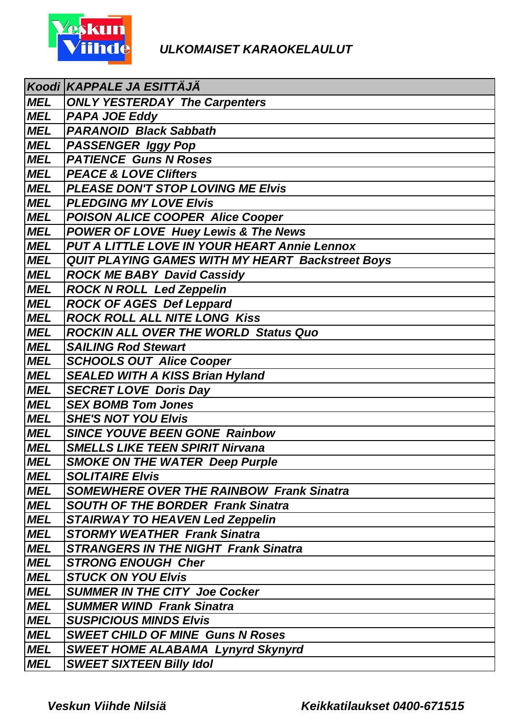

|            | Koodi KAPPALE JA ESITTÄJÄ                               |
|------------|---------------------------------------------------------|
| <b>MEL</b> | <b>ONLY YESTERDAY The Carpenters</b>                    |
| MEL        | <b>PAPA JOE Eddy</b>                                    |
| MEL        | <b>PARANOID Black Sabbath</b>                           |
| MEL        | PASSENGER Iggy Pop                                      |
| MEL        | <b>PATIENCE Guns N Roses</b>                            |
| <b>MEL</b> | <b>PEACE &amp; LOVE Clifters</b>                        |
| <b>MEL</b> | PLEASE DON'T STOP LOVING ME Elvis                       |
| <b>MEL</b> | <b>PLEDGING MY LOVE Elvis</b>                           |
| <b>MEL</b> | <b>POISON ALICE COOPER Alice Cooper</b>                 |
| <b>MEL</b> | <b>POWER OF LOVE Huey Lewis &amp; The News</b>          |
| <b>MEL</b> | <b>PUT A LITTLE LOVE IN YOUR HEART Annie Lennox</b>     |
| <b>MEL</b> | <b>QUIT PLAYING GAMES WITH MY HEART Backstreet Boys</b> |
| <b>MEL</b> | <b>ROCK ME BABY David Cassidy</b>                       |
| <b>MEL</b> | <b>ROCK N ROLL Led Zeppelin</b>                         |
| <b>MEL</b> | <b>ROCK OF AGES Def Leppard</b>                         |
| <b>MEL</b> | <b>ROCK ROLL ALL NITE LONG Kiss</b>                     |
| MEL        | <b>ROCKIN ALL OVER THE WORLD Status Quo</b>             |
| MEL        | <b>SAILING Rod Stewart</b>                              |
| <b>MEL</b> | <b>SCHOOLS OUT Alice Cooper</b>                         |
| MEL        | <b>SEALED WITH A KISS Brian Hyland</b>                  |
| <b>MEL</b> | <b>SECRET LOVE Doris Day</b>                            |
| <b>MEL</b> | <b>SEX BOMB Tom Jones</b>                               |
| <b>MEL</b> | <b>SHE'S NOT YOU Elvis</b>                              |
| <b>MEL</b> | <b>SINCE YOUVE BEEN GONE Rainbow</b>                    |
| <b>MEL</b> | <b>SMELLS LIKE TEEN SPIRIT Nirvana</b>                  |
| <b>MEL</b> | <b>SMOKE ON THE WATER Deep Purple</b>                   |
| <b>MEL</b> | <b>SOLITAIRE Elvis</b>                                  |
| <b>MEL</b> | <b>SOMEWHERE OVER THE RAINBOW Frank Sinatra</b>         |
| <b>MEL</b> | <b>SOUTH OF THE BORDER Frank Sinatra</b>                |
| <b>MEL</b> | <b>STAIRWAY TO HEAVEN Led Zeppelin</b>                  |
| <b>MEL</b> | <b>STORMY WEATHER Frank Sinatra</b>                     |
| <b>MEL</b> | <b>STRANGERS IN THE NIGHT Frank Sinatra</b>             |
| <b>MEL</b> | <b>STRONG ENOUGH Cher</b>                               |
| <b>MEL</b> | <b>STUCK ON YOU Elvis</b>                               |
| <b>MEL</b> | <b>SUMMER IN THE CITY Joe Cocker</b>                    |
| <b>MEL</b> | <b>SUMMER WIND Frank Sinatra</b>                        |
| <b>MEL</b> | <b>SUSPICIOUS MINDS Elvis</b>                           |
| <b>MEL</b> | <b>SWEET CHILD OF MINE Guns N Roses</b>                 |
| <b>MEL</b> | <b>SWEET HOME ALABAMA Lynyrd Skynyrd</b>                |
| <b>MEL</b> | <b>SWEET SIXTEEN Billy Idol</b>                         |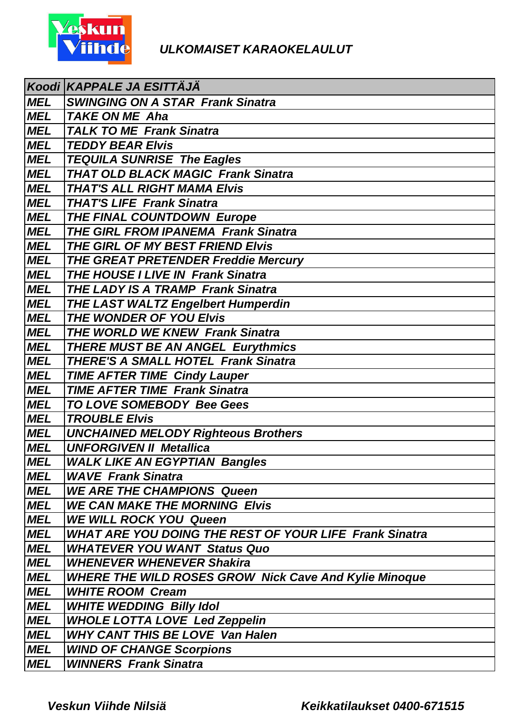

|            | Koodi KAPPALE JA ESITTÄJÄ                                     |
|------------|---------------------------------------------------------------|
| <b>MEL</b> | <b>SWINGING ON A STAR Frank Sinatra</b>                       |
| <b>MEL</b> | <b>TAKE ON ME Aha</b>                                         |
| <b>MEL</b> | <b>TALK TO ME Frank Sinatra</b>                               |
| <b>MEL</b> | <b>TEDDY BEAR Elvis</b>                                       |
| MEL        | <b>TEQUILA SUNRISE The Eagles</b>                             |
| <b>MEL</b> | <b>THAT OLD BLACK MAGIC Frank Sinatra</b>                     |
| <b>MEL</b> | <b>THAT'S ALL RIGHT MAMA Elvis</b>                            |
| <b>MEL</b> | <b>THAT'S LIFE Frank Sinatra</b>                              |
| <b>MEL</b> | <b>THE FINAL COUNTDOWN Europe</b>                             |
| <b>MEL</b> | <b>THE GIRL FROM IPANEMA Frank Sinatra</b>                    |
| <b>MEL</b> | THE GIRL OF MY BEST FRIEND Elvis                              |
| <b>MEL</b> | <b>THE GREAT PRETENDER Freddie Mercury</b>                    |
| <b>MEL</b> | <b>THE HOUSE I LIVE IN Frank Sinatra</b>                      |
| <b>MEL</b> | <b>THE LADY IS A TRAMP Frank Sinatra</b>                      |
| <b>MEL</b> | <b>THE LAST WALTZ Engelbert Humperdin</b>                     |
| <b>MEL</b> | THE WONDER OF YOU Elvis                                       |
| <b>MEL</b> | <b>THE WORLD WE KNEW Frank Sinatra</b>                        |
| <b>MEL</b> | THERE MUST BE AN ANGEL Eurythmics                             |
| <b>MEL</b> | <b>THERE'S A SMALL HOTEL Frank Sinatra</b>                    |
| <b>MEL</b> | <b>TIME AFTER TIME Cindy Lauper</b>                           |
| <b>MEL</b> | <b>TIME AFTER TIME Frank Sinatra</b>                          |
| <b>MEL</b> | TO LOVE SOMEBODY Bee Gees                                     |
| <b>MEL</b> | <b>TROUBLE Elvis</b>                                          |
| <b>MEL</b> | <b>UNCHAINED MELODY Righteous Brothers</b>                    |
| <b>MEL</b> | <b>UNFORGIVEN II Metallica</b>                                |
| <b>MEL</b> | <b>WALK LIKE AN EGYPTIAN Bangles</b>                          |
| <b>MEL</b> | <b>WAVE Frank Sinatra</b>                                     |
| <b>MEL</b> | <b>WE ARE THE CHAMPIONS Queen</b>                             |
| <b>MEL</b> | <b>WE CAN MAKE THE MORNING Elvis</b>                          |
| <b>MEL</b> | <b>WE WILL ROCK YOU Queen</b>                                 |
| <b>MEL</b> | <b>WHAT ARE YOU DOING THE REST OF YOUR LIFE Frank Sinatra</b> |
| <b>MEL</b> | <b>WHATEVER YOU WANT Status Quo</b>                           |
| <b>MEL</b> | <b>WHENEVER WHENEVER Shakira</b>                              |
| <b>MEL</b> | <b>WHERE THE WILD ROSES GROW Nick Cave And Kylie Minoque</b>  |
| <b>MEL</b> | <b>WHITE ROOM Cream</b>                                       |
| <b>MEL</b> | <b>WHITE WEDDING Billy Idol</b>                               |
| MEL        | <b>WHOLE LOTTA LOVE Led Zeppelin</b>                          |
| <b>MEL</b> | <b>WHY CANT THIS BE LOVE Van Halen</b>                        |
| <b>MEL</b> | <b>WIND OF CHANGE Scorpions</b>                               |
| <b>MEL</b> | <b>WINNERS Frank Sinatra</b>                                  |